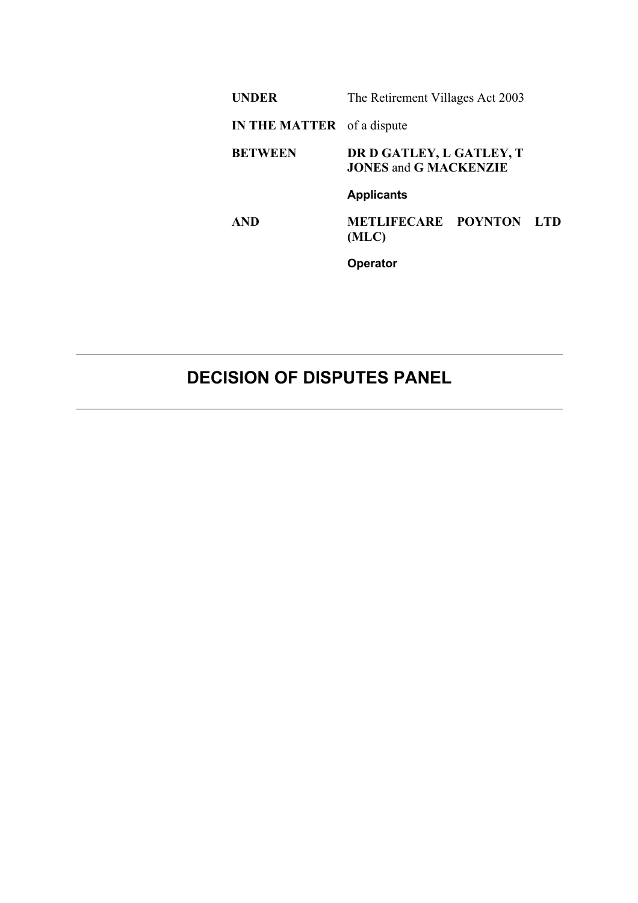| <b>UNDER</b>                      | The Retirement Villages Act 2003                         |  |  |
|-----------------------------------|----------------------------------------------------------|--|--|
| <b>IN THE MATTER</b> of a dispute |                                                          |  |  |
| <b>BETWEEN</b>                    | DR D GATLEY, L GATLEY, T<br><b>JONES and G MACKENZIE</b> |  |  |
|                                   | <b>Applicants</b>                                        |  |  |
| <b>AND</b>                        | <b>METLIFECARE POYNTON LTD</b><br>(MLC)                  |  |  |
|                                   | <b>Operator</b>                                          |  |  |

## **DECISION OF DISPUTES PANEL**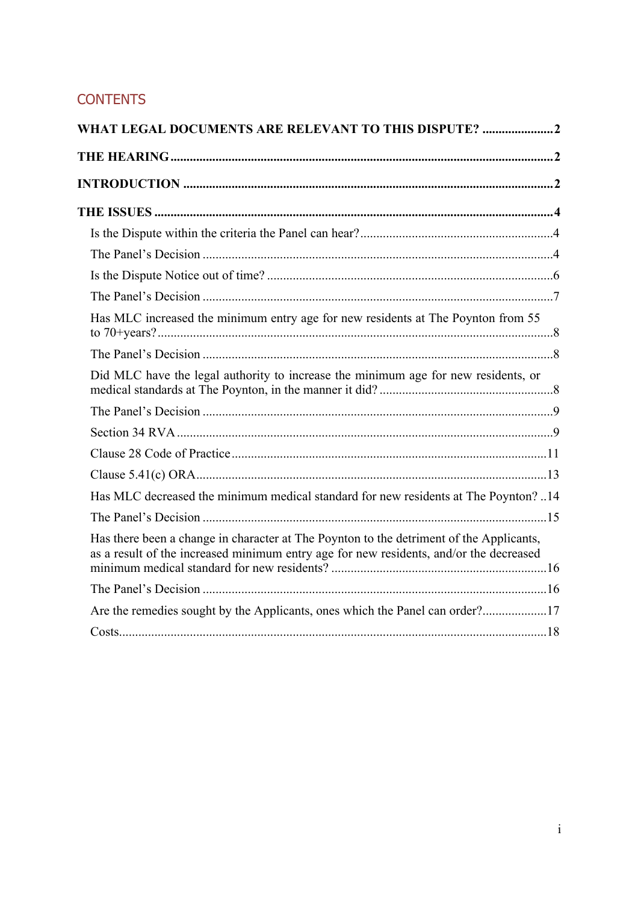### **CONTENTS**

| WHAT LEGAL DOCUMENTS ARE RELEVANT TO THIS DISPUTE?                                                                                                                                |  |  |
|-----------------------------------------------------------------------------------------------------------------------------------------------------------------------------------|--|--|
|                                                                                                                                                                                   |  |  |
|                                                                                                                                                                                   |  |  |
|                                                                                                                                                                                   |  |  |
|                                                                                                                                                                                   |  |  |
|                                                                                                                                                                                   |  |  |
|                                                                                                                                                                                   |  |  |
|                                                                                                                                                                                   |  |  |
| Has MLC increased the minimum entry age for new residents at The Poynton from 55                                                                                                  |  |  |
|                                                                                                                                                                                   |  |  |
| Did MLC have the legal authority to increase the minimum age for new residents, or                                                                                                |  |  |
|                                                                                                                                                                                   |  |  |
|                                                                                                                                                                                   |  |  |
|                                                                                                                                                                                   |  |  |
|                                                                                                                                                                                   |  |  |
| Has MLC decreased the minimum medical standard for new residents at The Poynton? 14                                                                                               |  |  |
|                                                                                                                                                                                   |  |  |
| Has there been a change in character at The Poynton to the detriment of the Applicants,<br>as a result of the increased minimum entry age for new residents, and/or the decreased |  |  |
|                                                                                                                                                                                   |  |  |
| Are the remedies sought by the Applicants, ones which the Panel can order?17                                                                                                      |  |  |
|                                                                                                                                                                                   |  |  |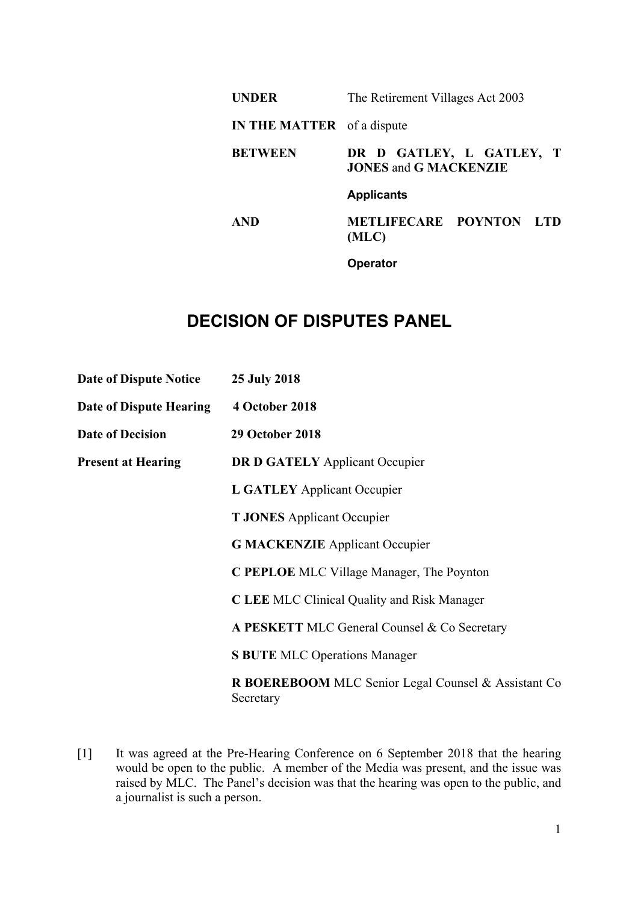| <b>UNDER</b>                      | The Retirement Villages Act 2003                         |                         |  |
|-----------------------------------|----------------------------------------------------------|-------------------------|--|
| <b>IN THE MATTER</b> of a dispute |                                                          |                         |  |
| <b>BETWEEN</b>                    | DR D GATLEY, L GATLEY, T<br><b>JONES and G MACKENZIE</b> |                         |  |
|                                   | <b>Applicants</b>                                        |                         |  |
| <b>AND</b>                        | (MLC)                                                    | METLIFECARE POYNTON LTD |  |
|                                   | Operator                                                 |                         |  |

# **DECISION OF DISPUTES PANEL**

| <b>Date of Dispute Notice</b>  | <b>25 July 2018</b>                                              |
|--------------------------------|------------------------------------------------------------------|
| <b>Date of Dispute Hearing</b> | 4 October 2018                                                   |
| <b>Date of Decision</b>        | <b>29 October 2018</b>                                           |
| <b>Present at Hearing</b>      | <b>DR D GATELY Applicant Occupier</b>                            |
|                                | <b>L GATLEY</b> Applicant Occupier                               |
|                                | <b>T JONES</b> Applicant Occupier                                |
|                                | <b>G MACKENZIE</b> Applicant Occupier                            |
|                                | C PEPLOE MLC Village Manager, The Poynton                        |
|                                | <b>C LEE MLC Clinical Quality and Risk Manager</b>               |
|                                | A PESKETT MLC General Counsel & Co Secretary                     |
|                                | <b>S BUTE MLC Operations Manager</b>                             |
|                                | R BOEREBOOM MLC Senior Legal Counsel & Assistant Co<br>Secretary |

[1] It was agreed at the Pre-Hearing Conference on 6 September 2018 that the hearing would be open to the public. A member of the Media was present, and the issue was raised by MLC. The Panel's decision was that the hearing was open to the public, and a journalist is such a person.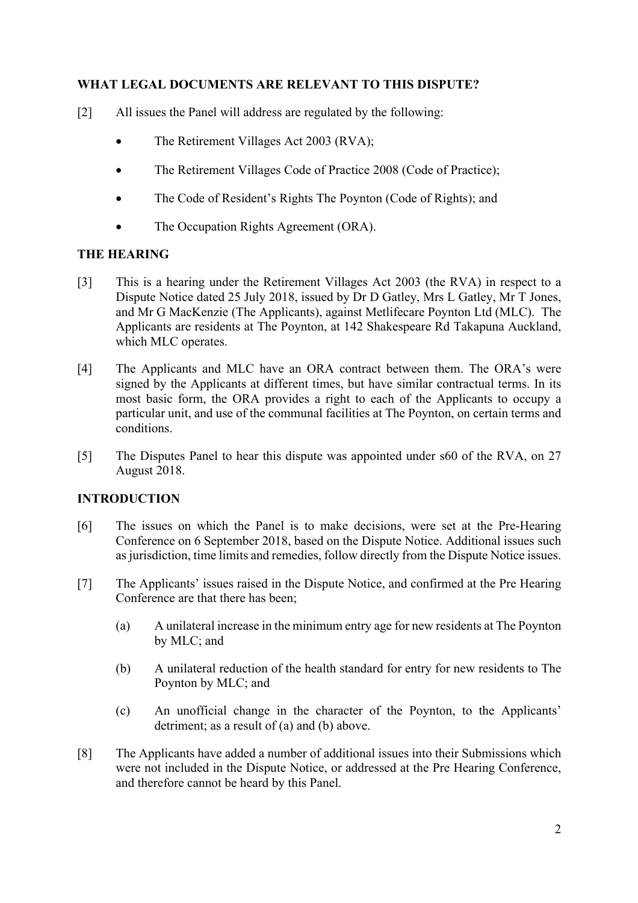#### **WHAT LEGAL DOCUMENTS ARE RELEVANT TO THIS DISPUTE?**

- [2] All issues the Panel will address are regulated by the following:
	- The Retirement Villages Act 2003 (RVA);
	- The Retirement Villages Code of Practice 2008 (Code of Practice);
	- The Code of Resident's Rights The Poynton (Code of Rights); and
	- The Occupation Rights Agreement (ORA).

#### **THE HEARING**

- [3] This is a hearing under the Retirement Villages Act 2003 (the RVA) in respect to a Dispute Notice dated 25 July 2018, issued by Dr D Gatley, Mrs L Gatley, Mr T Jones, and Mr G MacKenzie (The Applicants), against Metlifecare Poynton Ltd (MLC). The Applicants are residents at The Poynton, at 142 Shakespeare Rd Takapuna Auckland, which MLC operates.
- [4] The Applicants and MLC have an ORA contract between them. The ORA's were signed by the Applicants at different times, but have similar contractual terms. In its most basic form, the ORA provides a right to each of the Applicants to occupy a particular unit, and use of the communal facilities at The Poynton, on certain terms and conditions.
- [5] The Disputes Panel to hear this dispute was appointed under s60 of the RVA, on 27 August 2018.

#### **INTRODUCTION**

- [6] The issues on which the Panel is to make decisions, were set at the Pre-Hearing Conference on 6 September 2018, based on the Dispute Notice. Additional issues such as jurisdiction, time limits and remedies, follow directly from the Dispute Notice issues.
- [7] The Applicants' issues raised in the Dispute Notice, and confirmed at the Pre Hearing Conference are that there has been;
	- (a) A unilateral increase in the minimum entry age for new residents at The Poynton by MLC; and
	- (b) A unilateral reduction of the health standard for entry for new residents to The Poynton by MLC; and
	- (c) An unofficial change in the character of the Poynton, to the Applicants' detriment; as a result of (a) and (b) above.
- [8] The Applicants have added a number of additional issues into their Submissions which were not included in the Dispute Notice, or addressed at the Pre Hearing Conference, and therefore cannot be heard by this Panel.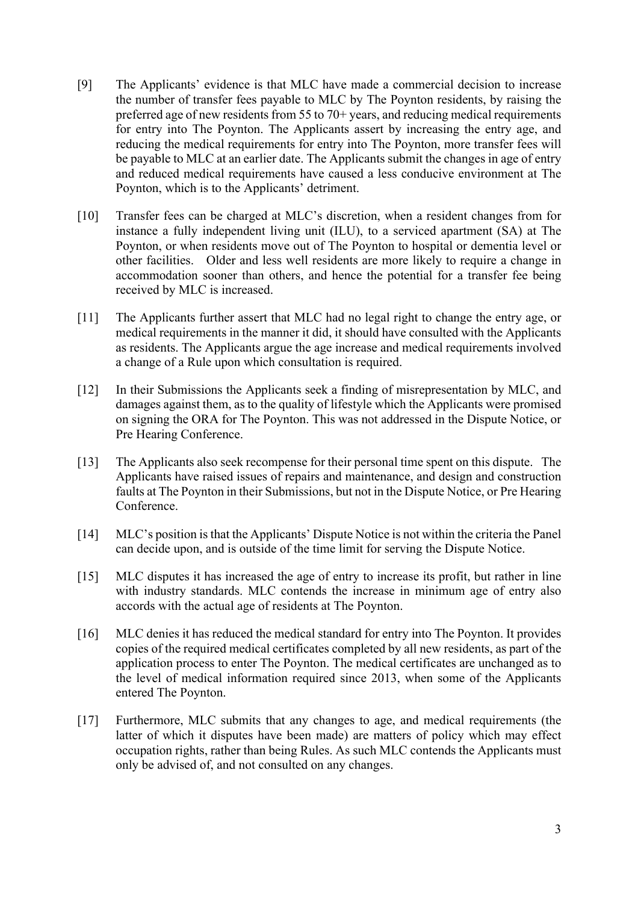- [9] The Applicants' evidence is that MLC have made a commercial decision to increase the number of transfer fees payable to MLC by The Poynton residents, by raising the preferred age of new residents from 55 to 70+ years, and reducing medical requirements for entry into The Poynton. The Applicants assert by increasing the entry age, and reducing the medical requirements for entry into The Poynton, more transfer fees will be payable to MLC at an earlier date. The Applicants submit the changes in age of entry and reduced medical requirements have caused a less conducive environment at The Poynton, which is to the Applicants' detriment.
- [10] Transfer fees can be charged at MLC's discretion, when a resident changes from for instance a fully independent living unit (ILU), to a serviced apartment (SA) at The Poynton, or when residents move out of The Poynton to hospital or dementia level or other facilities. Older and less well residents are more likely to require a change in accommodation sooner than others, and hence the potential for a transfer fee being received by MLC is increased.
- [11] The Applicants further assert that MLC had no legal right to change the entry age, or medical requirements in the manner it did, it should have consulted with the Applicants as residents. The Applicants argue the age increase and medical requirements involved a change of a Rule upon which consultation is required.
- [12] In their Submissions the Applicants seek a finding of misrepresentation by MLC, and damages against them, as to the quality of lifestyle which the Applicants were promised on signing the ORA for The Poynton. This was not addressed in the Dispute Notice, or Pre Hearing Conference.
- [13] The Applicants also seek recompense for their personal time spent on this dispute. The Applicants have raised issues of repairs and maintenance, and design and construction faults at The Poynton in their Submissions, but not in the Dispute Notice, or Pre Hearing Conference.
- [14] MLC's position is that the Applicants' Dispute Notice is not within the criteria the Panel can decide upon, and is outside of the time limit for serving the Dispute Notice.
- [15] MLC disputes it has increased the age of entry to increase its profit, but rather in line with industry standards. MLC contends the increase in minimum age of entry also accords with the actual age of residents at The Poynton.
- [16] MLC denies it has reduced the medical standard for entry into The Poynton. It provides copies of the required medical certificates completed by all new residents, as part of the application process to enter The Poynton. The medical certificates are unchanged as to the level of medical information required since 2013, when some of the Applicants entered The Poynton.
- [17] Furthermore, MLC submits that any changes to age, and medical requirements (the latter of which it disputes have been made) are matters of policy which may effect occupation rights, rather than being Rules. As such MLC contends the Applicants must only be advised of, and not consulted on any changes.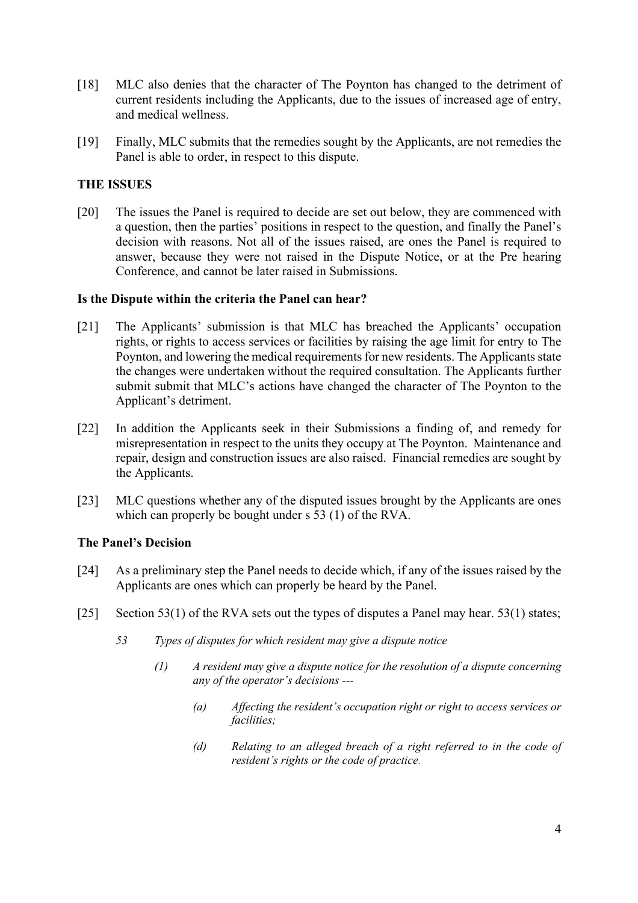- [18] MLC also denies that the character of The Poynton has changed to the detriment of current residents including the Applicants, due to the issues of increased age of entry, and medical wellness.
- [19] Finally, MLC submits that the remedies sought by the Applicants, are not remedies the Panel is able to order, in respect to this dispute.

#### **THE ISSUES**

[20] The issues the Panel is required to decide are set out below, they are commenced with a question, then the parties' positions in respect to the question, and finally the Panel's decision with reasons. Not all of the issues raised, are ones the Panel is required to answer, because they were not raised in the Dispute Notice, or at the Pre hearing Conference, and cannot be later raised in Submissions.

#### **Is the Dispute within the criteria the Panel can hear?**

- [21] The Applicants' submission is that MLC has breached the Applicants' occupation rights, or rights to access services or facilities by raising the age limit for entry to The Poynton, and lowering the medical requirements for new residents. The Applicants state the changes were undertaken without the required consultation. The Applicants further submit submit that MLC's actions have changed the character of The Poynton to the Applicant's detriment.
- [22] In addition the Applicants seek in their Submissions a finding of, and remedy for misrepresentation in respect to the units they occupy at The Poynton. Maintenance and repair, design and construction issues are also raised. Financial remedies are sought by the Applicants.
- [23] MLC questions whether any of the disputed issues brought by the Applicants are ones which can properly be bought under s 53 (1) of the RVA.

#### **The Panel's Decision**

- [24] As a preliminary step the Panel needs to decide which, if any of the issues raised by the Applicants are ones which can properly be heard by the Panel.
- [25] Section 53(1) of the RVA sets out the types of disputes a Panel may hear. 53(1) states;
	- *53 Types of disputes for which resident may give a dispute notice*
		- *(1) A resident may give a dispute notice for the resolution of a dispute concerning any of the operator's decisions ---*
			- *(a) Affecting the resident's occupation right or right to access services or facilities;*
			- *(d) Relating to an alleged breach of a right referred to in the code of resident's rights or the code of practice.*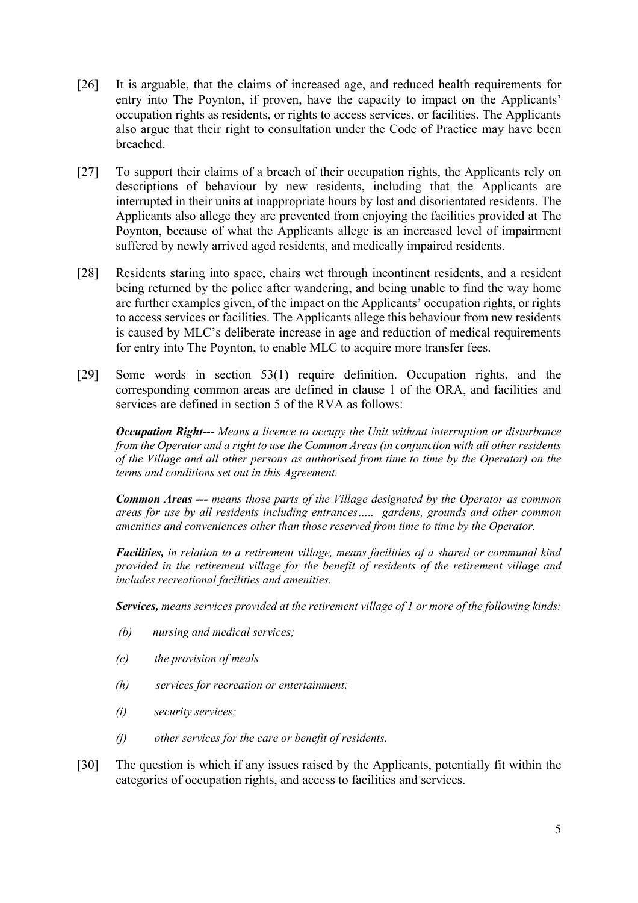- [26] It is arguable, that the claims of increased age, and reduced health requirements for entry into The Poynton, if proven, have the capacity to impact on the Applicants' occupation rights as residents, or rights to access services, or facilities. The Applicants also argue that their right to consultation under the Code of Practice may have been breached.
- [27] To support their claims of a breach of their occupation rights, the Applicants rely on descriptions of behaviour by new residents, including that the Applicants are interrupted in their units at inappropriate hours by lost and disorientated residents. The Applicants also allege they are prevented from enjoying the facilities provided at The Poynton, because of what the Applicants allege is an increased level of impairment suffered by newly arrived aged residents, and medically impaired residents.
- [28] Residents staring into space, chairs wet through incontinent residents, and a resident being returned by the police after wandering, and being unable to find the way home are further examples given, of the impact on the Applicants' occupation rights, or rights to access services or facilities. The Applicants allege this behaviour from new residents is caused by MLC's deliberate increase in age and reduction of medical requirements for entry into The Poynton, to enable MLC to acquire more transfer fees.
- [29] Some words in section 53(1) require definition. Occupation rights, and the corresponding common areas are defined in clause 1 of the ORA, and facilities and services are defined in section 5 of the RVA as follows:

*Occupation Right--- Means a licence to occupy the Unit without interruption or disturbance from the Operator and a right to use the Common Areas (in conjunction with all other residents of the Village and all other persons as authorised from time to time by the Operator) on the terms and conditions set out in this Agreement.*

*Common Areas --- means those parts of the Village designated by the Operator as common areas for use by all residents including entrances….. gardens, grounds and other common amenities and conveniences other than those reserved from time to time by the Operator.*

*Facilities, in relation to a retirement village, means facilities of a shared or communal kind provided in the retirement village for the benefit of residents of the retirement village and includes recreational facilities and amenities.*

*Services, means services provided at the retirement village of 1 or more of the following kinds:*

- *(b) nursing and medical services;*
- *(c) the provision of meals*
- *(h) services for recreation or entertainment;*
- *(i) security services;*
- *(j) other services for the care or benefit of residents.*
- [30] The question is which if any issues raised by the Applicants, potentially fit within the categories of occupation rights, and access to facilities and services.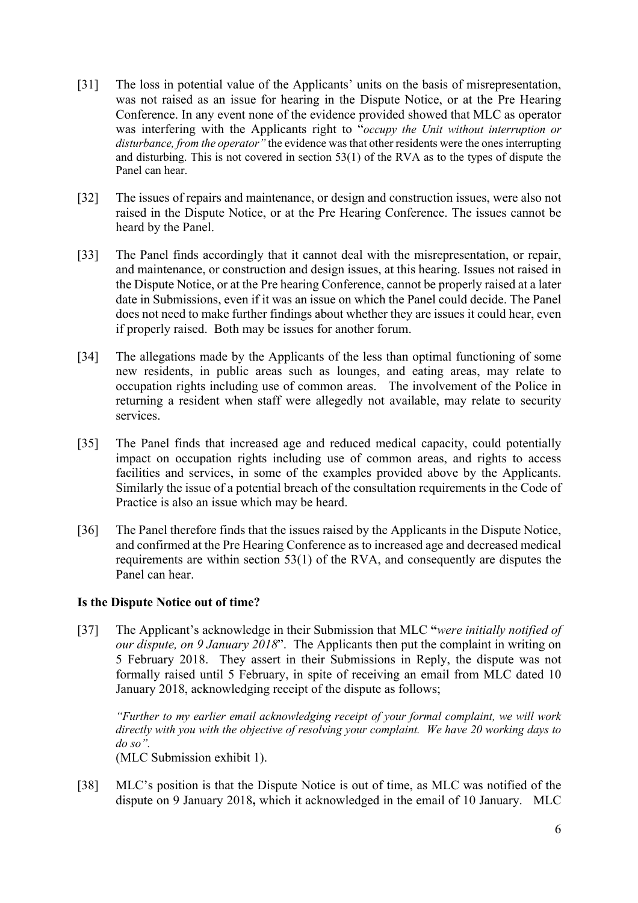- [31] The loss in potential value of the Applicants' units on the basis of misrepresentation, was not raised as an issue for hearing in the Dispute Notice, or at the Pre Hearing Conference. In any event none of the evidence provided showed that MLC as operator was interfering with the Applicants right to "*occupy the Unit without interruption or disturbance, from the operator"* the evidence was that other residents were the ones interrupting and disturbing. This is not covered in section 53(1) of the RVA as to the types of dispute the Panel can hear.
- [32] The issues of repairs and maintenance, or design and construction issues, were also not raised in the Dispute Notice, or at the Pre Hearing Conference. The issues cannot be heard by the Panel.
- [33] The Panel finds accordingly that it cannot deal with the misrepresentation, or repair, and maintenance, or construction and design issues, at this hearing. Issues not raised in the Dispute Notice, or at the Pre hearing Conference, cannot be properly raised at a later date in Submissions, even if it was an issue on which the Panel could decide. The Panel does not need to make further findings about whether they are issues it could hear, even if properly raised. Both may be issues for another forum.
- [34] The allegations made by the Applicants of the less than optimal functioning of some new residents, in public areas such as lounges, and eating areas, may relate to occupation rights including use of common areas. The involvement of the Police in returning a resident when staff were allegedly not available, may relate to security services.
- [35] The Panel finds that increased age and reduced medical capacity, could potentially impact on occupation rights including use of common areas, and rights to access facilities and services, in some of the examples provided above by the Applicants. Similarly the issue of a potential breach of the consultation requirements in the Code of Practice is also an issue which may be heard.
- [36] The Panel therefore finds that the issues raised by the Applicants in the Dispute Notice, and confirmed at the Pre Hearing Conference as to increased age and decreased medical requirements are within section 53(1) of the RVA, and consequently are disputes the Panel can hear.

#### **Is the Dispute Notice out of time?**

[37] The Applicant's acknowledge in their Submission that MLC **"***were initially notified of our dispute, on 9 January 2018*". The Applicants then put the complaint in writing on 5 February 2018. They assert in their Submissions in Reply, the dispute was not formally raised until 5 February, in spite of receiving an email from MLC dated 10 January 2018, acknowledging receipt of the dispute as follows;

*"Further to my earlier email acknowledging receipt of your formal complaint, we will work directly with you with the objective of resolving your complaint. We have 20 working days to do so".*

(MLC Submission exhibit 1).

[38] MLC's position is that the Dispute Notice is out of time, as MLC was notified of the dispute on 9 January 2018**,** which it acknowledged in the email of 10 January. MLC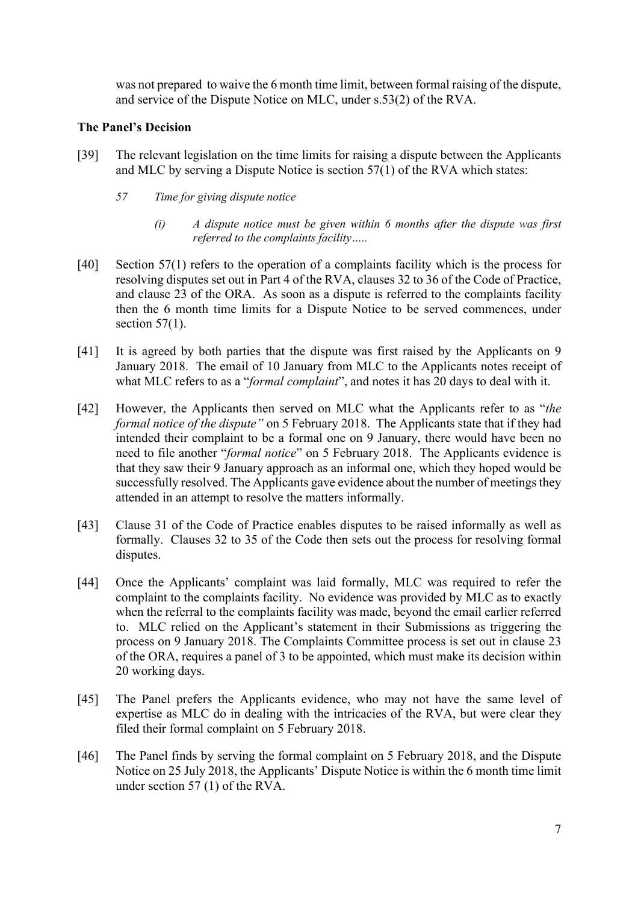was not prepared to waive the 6 month time limit, between formal raising of the dispute, and service of the Dispute Notice on MLC, under s.53(2) of the RVA.

#### **The Panel's Decision**

- [39] The relevant legislation on the time limits for raising a dispute between the Applicants and MLC by serving a Dispute Notice is section 57(1) of the RVA which states:
	- *57 Time for giving dispute notice*
		- *(i) A dispute notice must be given within 6 months after the dispute was first referred to the complaints facility…..*
- [40] Section 57(1) refers to the operation of a complaints facility which is the process for resolving disputes set out in Part 4 of the RVA, clauses 32 to 36 of the Code of Practice, and clause 23 of the ORA. As soon as a dispute is referred to the complaints facility then the 6 month time limits for a Dispute Notice to be served commences, under section  $57(1)$ .
- [41] It is agreed by both parties that the dispute was first raised by the Applicants on 9 January 2018. The email of 10 January from MLC to the Applicants notes receipt of what MLC refers to as a "*formal complaint*", and notes it has 20 days to deal with it.
- [42] However, the Applicants then served on MLC what the Applicants refer to as "*the formal notice of the dispute"* on 5 February 2018. The Applicants state that if they had intended their complaint to be a formal one on 9 January, there would have been no need to file another "*formal notice*" on 5 February 2018. The Applicants evidence is that they saw their 9 January approach as an informal one, which they hoped would be successfully resolved. The Applicants gave evidence about the number of meetings they attended in an attempt to resolve the matters informally.
- [43] Clause 31 of the Code of Practice enables disputes to be raised informally as well as formally. Clauses 32 to 35 of the Code then sets out the process for resolving formal disputes.
- [44] Once the Applicants' complaint was laid formally, MLC was required to refer the complaint to the complaints facility. No evidence was provided by MLC as to exactly when the referral to the complaints facility was made, beyond the email earlier referred to. MLC relied on the Applicant's statement in their Submissions as triggering the process on 9 January 2018. The Complaints Committee process is set out in clause 23 of the ORA, requires a panel of 3 to be appointed, which must make its decision within 20 working days.
- [45] The Panel prefers the Applicants evidence, who may not have the same level of expertise as MLC do in dealing with the intricacies of the RVA, but were clear they filed their formal complaint on 5 February 2018.
- [46] The Panel finds by serving the formal complaint on 5 February 2018, and the Dispute Notice on 25 July 2018, the Applicants' Dispute Notice is within the 6 month time limit under section 57 (1) of the RVA.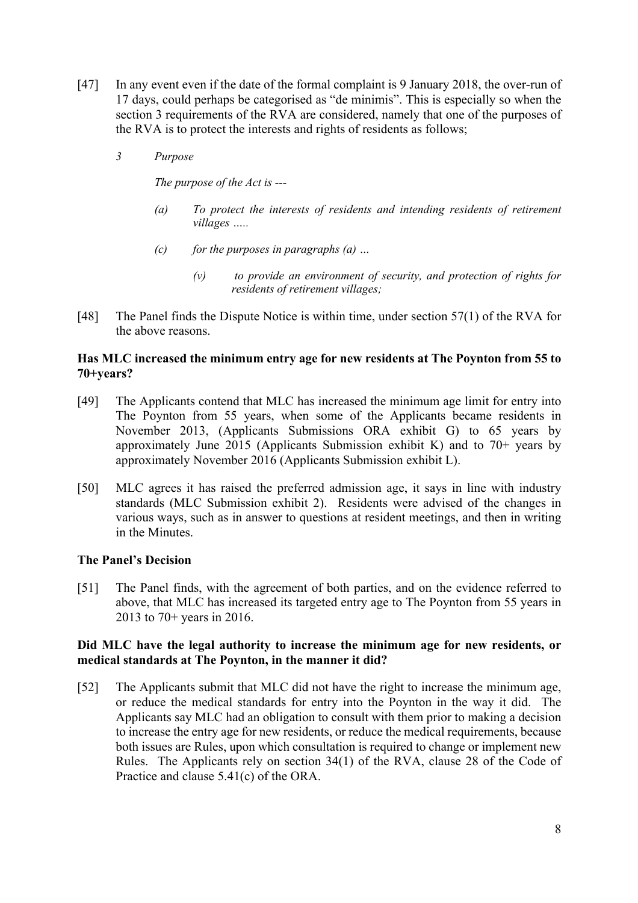- [47] In any event even if the date of the formal complaint is 9 January 2018, the over-run of 17 days, could perhaps be categorised as "de minimis". This is especially so when the section 3 requirements of the RVA are considered, namely that one of the purposes of the RVA is to protect the interests and rights of residents as follows;
	- *3 Purpose*

*The purpose of the Act is ---*

- *(a) To protect the interests of residents and intending residents of retirement villages …..*
- *(c) for the purposes in paragraphs (a) …*
	- *(v) to provide an environment of security, and protection of rights for residents of retirement villages;*
- [48] The Panel finds the Dispute Notice is within time, under section 57(1) of the RVA for the above reasons.

#### **Has MLC increased the minimum entry age for new residents at The Poynton from 55 to 70+years?**

- [49] The Applicants contend that MLC has increased the minimum age limit for entry into The Poynton from 55 years, when some of the Applicants became residents in November 2013, (Applicants Submissions ORA exhibit G) to 65 years by approximately June 2015 (Applicants Submission exhibit K) and to  $70+$  years by approximately November 2016 (Applicants Submission exhibit L).
- [50] MLC agrees it has raised the preferred admission age, it says in line with industry standards (MLC Submission exhibit 2). Residents were advised of the changes in various ways, such as in answer to questions at resident meetings, and then in writing in the Minutes.

#### **The Panel's Decision**

[51] The Panel finds, with the agreement of both parties, and on the evidence referred to above, that MLC has increased its targeted entry age to The Poynton from 55 years in 2013 to 70+ years in 2016.

#### **Did MLC have the legal authority to increase the minimum age for new residents, or medical standards at The Poynton, in the manner it did?**

[52] The Applicants submit that MLC did not have the right to increase the minimum age, or reduce the medical standards for entry into the Poynton in the way it did. The Applicants say MLC had an obligation to consult with them prior to making a decision to increase the entry age for new residents, or reduce the medical requirements, because both issues are Rules, upon which consultation is required to change or implement new Rules. The Applicants rely on section 34(1) of the RVA, clause 28 of the Code of Practice and clause 5.41(c) of the ORA.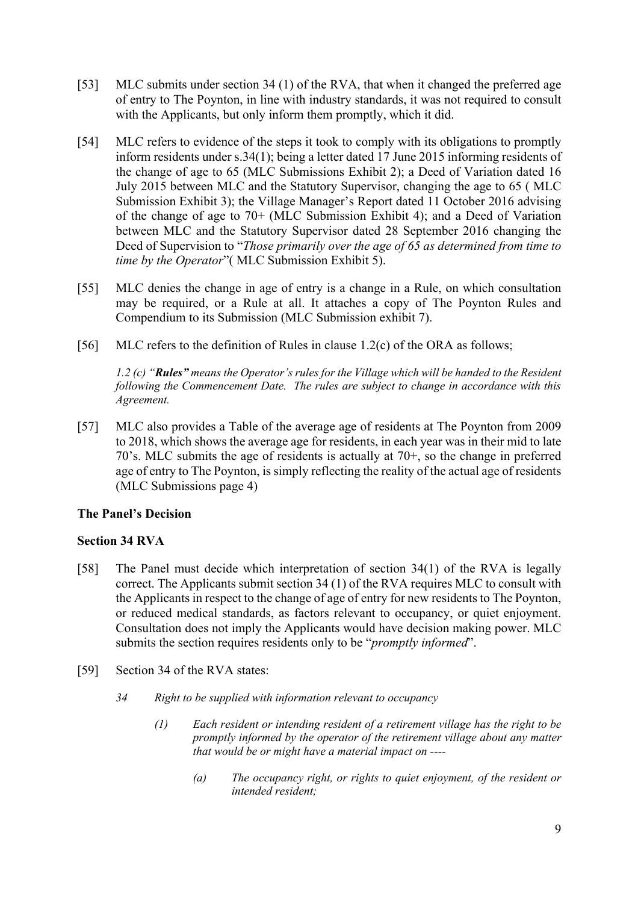- [53] MLC submits under section 34 (1) of the RVA, that when it changed the preferred age of entry to The Poynton, in line with industry standards, it was not required to consult with the Applicants, but only inform them promptly, which it did.
- [54] MLC refers to evidence of the steps it took to comply with its obligations to promptly inform residents under s.34(1); being a letter dated 17 June 2015 informing residents of the change of age to 65 (MLC Submissions Exhibit 2); a Deed of Variation dated 16 July 2015 between MLC and the Statutory Supervisor, changing the age to 65 ( MLC Submission Exhibit 3); the Village Manager's Report dated 11 October 2016 advising of the change of age to 70+ (MLC Submission Exhibit 4); and a Deed of Variation between MLC and the Statutory Supervisor dated 28 September 2016 changing the Deed of Supervision to "*Those primarily over the age of 65 as determined from time to time by the Operator*"( MLC Submission Exhibit 5).
- [55] MLC denies the change in age of entry is a change in a Rule, on which consultation may be required, or a Rule at all. It attaches a copy of The Poynton Rules and Compendium to its Submission (MLC Submission exhibit 7).
- [56] MLC refers to the definition of Rules in clause 1.2(c) of the ORA as follows;

*1.2 (c) "Rules" means the Operator's rules for the Village which will be handed to the Resident following the Commencement Date. The rules are subject to change in accordance with this Agreement.*

[57] MLC also provides a Table of the average age of residents at The Poynton from 2009 to 2018, which shows the average age for residents, in each year was in their mid to late 70's. MLC submits the age of residents is actually at 70+, so the change in preferred age of entry to The Poynton, is simply reflecting the reality of the actual age of residents (MLC Submissions page 4)

#### **The Panel's Decision**

#### **Section 34 RVA**

- [58] The Panel must decide which interpretation of section 34(1) of the RVA is legally correct. The Applicants submit section 34 (1) of the RVA requires MLC to consult with the Applicants in respect to the change of age of entry for new residents to The Poynton, or reduced medical standards, as factors relevant to occupancy, or quiet enjoyment. Consultation does not imply the Applicants would have decision making power. MLC submits the section requires residents only to be "*promptly informed*".
- [59] Section 34 of the RVA states:
	- *34 Right to be supplied with information relevant to occupancy*
		- *(1) Each resident or intending resident of a retirement village has the right to be promptly informed by the operator of the retirement village about any matter that would be or might have a material impact on ----*
			- *(a) The occupancy right, or rights to quiet enjoyment, of the resident or intended resident;*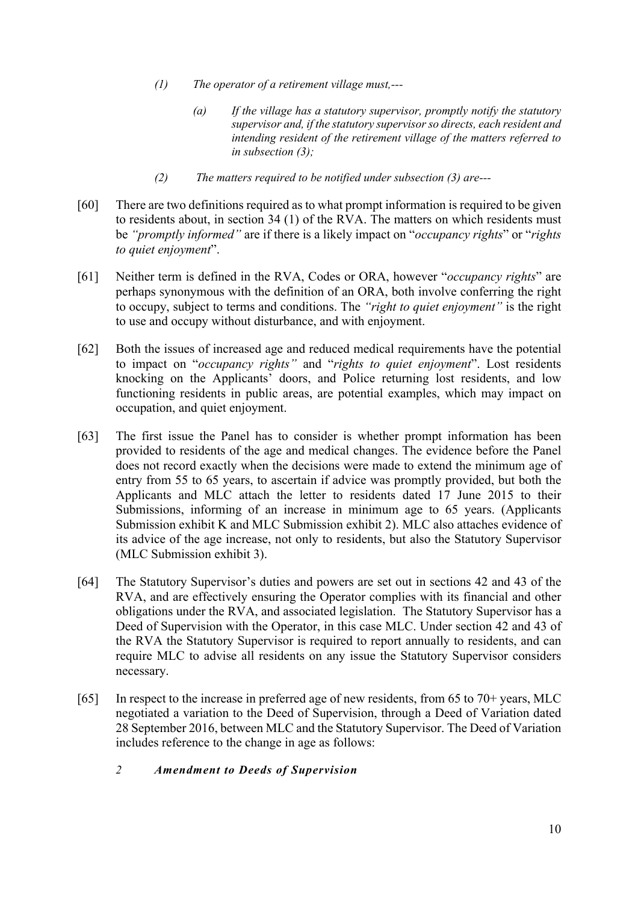- *(1) The operator of a retirement village must,---*
	- *(a) If the village has a statutory supervisor, promptly notify the statutory supervisor and, if the statutory supervisor so directs, each resident and intending resident of the retirement village of the matters referred to in subsection (3);*
- *(2) The matters required to be notified under subsection (3) are---*
- [60] There are two definitions required as to what prompt information is required to be given to residents about, in section 34 (1) of the RVA. The matters on which residents must be *"promptly informed"* are if there is a likely impact on "*occupancy rights*" or "*rights to quiet enjoyment*".
- [61] Neither term is defined in the RVA, Codes or ORA, however "*occupancy rights*" are perhaps synonymous with the definition of an ORA, both involve conferring the right to occupy, subject to terms and conditions. The *"right to quiet enjoyment"* is the right to use and occupy without disturbance, and with enjoyment.
- [62] Both the issues of increased age and reduced medical requirements have the potential to impact on "*occupancy rights"* and "*rights to quiet enjoyment*". Lost residents knocking on the Applicants' doors, and Police returning lost residents, and low functioning residents in public areas, are potential examples, which may impact on occupation, and quiet enjoyment.
- [63] The first issue the Panel has to consider is whether prompt information has been provided to residents of the age and medical changes. The evidence before the Panel does not record exactly when the decisions were made to extend the minimum age of entry from 55 to 65 years, to ascertain if advice was promptly provided, but both the Applicants and MLC attach the letter to residents dated 17 June 2015 to their Submissions, informing of an increase in minimum age to 65 years. (Applicants Submission exhibit K and MLC Submission exhibit 2). MLC also attaches evidence of its advice of the age increase, not only to residents, but also the Statutory Supervisor (MLC Submission exhibit 3).
- [64] The Statutory Supervisor's duties and powers are set out in sections 42 and 43 of the RVA, and are effectively ensuring the Operator complies with its financial and other obligations under the RVA, and associated legislation. The Statutory Supervisor has a Deed of Supervision with the Operator, in this case MLC. Under section 42 and 43 of the RVA the Statutory Supervisor is required to report annually to residents, and can require MLC to advise all residents on any issue the Statutory Supervisor considers necessary.
- [65] In respect to the increase in preferred age of new residents, from 65 to 70+ years, MLC negotiated a variation to the Deed of Supervision, through a Deed of Variation dated 28 September 2016, between MLC and the Statutory Supervisor. The Deed of Variation includes reference to the change in age as follows:
	- *2 Amendment to Deeds of Supervision*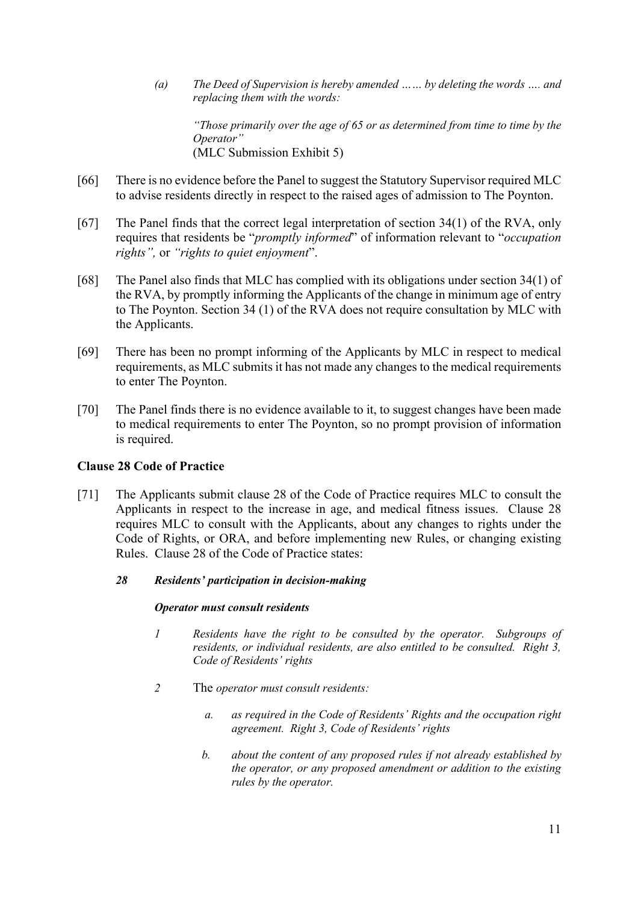*(a) The Deed of Supervision is hereby amended …… by deleting the words …. and replacing them with the words:*

*"Those primarily over the age of 65 or as determined from time to time by the Operator"* (MLC Submission Exhibit 5)

- [66] There is no evidence before the Panel to suggest the Statutory Supervisor required MLC to advise residents directly in respect to the raised ages of admission to The Poynton.
- [67] The Panel finds that the correct legal interpretation of section 34(1) of the RVA, only requires that residents be "*promptly informed*" of information relevant to "*occupation rights",* or *"rights to quiet enjoyment*".
- [68] The Panel also finds that MLC has complied with its obligations under section 34(1) of the RVA, by promptly informing the Applicants of the change in minimum age of entry to The Poynton. Section 34 (1) of the RVA does not require consultation by MLC with the Applicants.
- [69] There has been no prompt informing of the Applicants by MLC in respect to medical requirements, as MLC submits it has not made any changes to the medical requirements to enter The Poynton.
- [70] The Panel finds there is no evidence available to it, to suggest changes have been made to medical requirements to enter The Poynton, so no prompt provision of information is required.

#### **Clause 28 Code of Practice**

- [71] The Applicants submit clause 28 of the Code of Practice requires MLC to consult the Applicants in respect to the increase in age, and medical fitness issues. Clause 28 requires MLC to consult with the Applicants, about any changes to rights under the Code of Rights, or ORA, and before implementing new Rules, or changing existing Rules. Clause 28 of the Code of Practice states:
	- *28 Residents' participation in decision-making*

#### *Operator must consult residents*

- *1 Residents have the right to be consulted by the operator. Subgroups of residents, or individual residents, are also entitled to be consulted. Right 3, Code of Residents' rights*
- *2* The *operator must consult residents:*
	- *a. as required in the Code of Residents' Rights and the occupation right agreement. Right 3, Code of Residents' rights*
	- *b. about the content of any proposed rules if not already established by the operator, or any proposed amendment or addition to the existing rules by the operator.*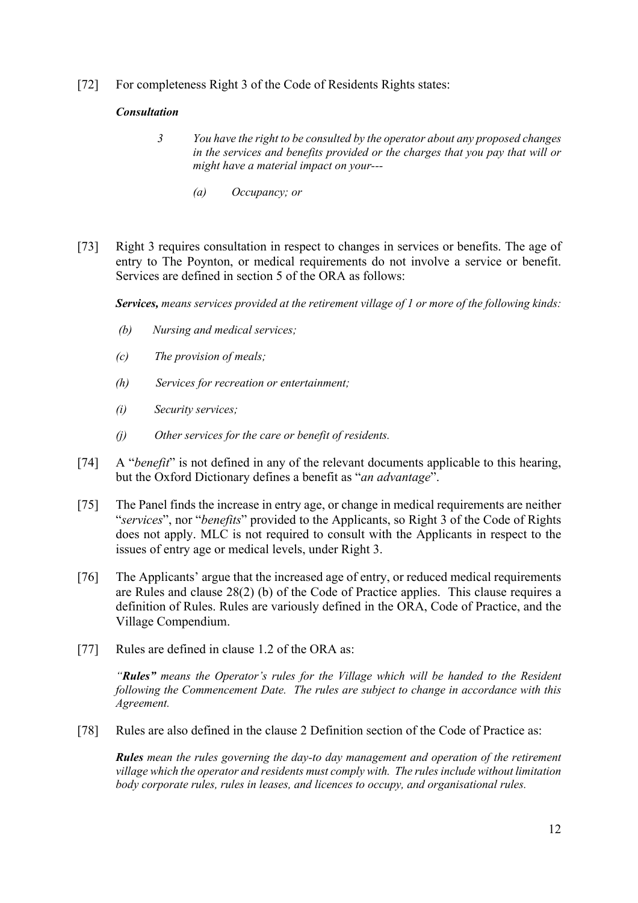[72] For completeness Right 3 of the Code of Residents Rights states:

#### *Consultation*

- *3 You have the right to be consulted by the operator about any proposed changes in the services and benefits provided or the charges that you pay that will or might have a material impact on your---*
	- *(a) Occupancy; or*
- [73] Right 3 requires consultation in respect to changes in services or benefits. The age of entry to The Poynton, or medical requirements do not involve a service or benefit. Services are defined in section 5 of the ORA as follows:

*Services, means services provided at the retirement village of 1 or more of the following kinds:*

- *(b) Nursing and medical services;*
- *(c) The provision of meals;*
- *(h) Services for recreation or entertainment;*
- *(i) Security services;*
- *(j) Other services for the care or benefit of residents.*
- [74] A "*benefit*" is not defined in any of the relevant documents applicable to this hearing, but the Oxford Dictionary defines a benefit as "*an advantage*".
- [75] The Panel finds the increase in entry age, or change in medical requirements are neither "*services*", nor "*benefits*" provided to the Applicants, so Right 3 of the Code of Rights does not apply. MLC is not required to consult with the Applicants in respect to the issues of entry age or medical levels, under Right 3.
- [76] The Applicants' argue that the increased age of entry, or reduced medical requirements are Rules and clause 28(2) (b) of the Code of Practice applies. This clause requires a definition of Rules. Rules are variously defined in the ORA, Code of Practice, and the Village Compendium.
- [77] Rules are defined in clause 1.2 of the ORA as:

*"Rules" means the Operator's rules for the Village which will be handed to the Resident following the Commencement Date. The rules are subject to change in accordance with this Agreement.*

[78] Rules are also defined in the clause 2 Definition section of the Code of Practice as:

*Rules mean the rules governing the day-to day management and operation of the retirement village which the operator and residents must comply with. The rules include without limitation body corporate rules, rules in leases, and licences to occupy, and organisational rules.*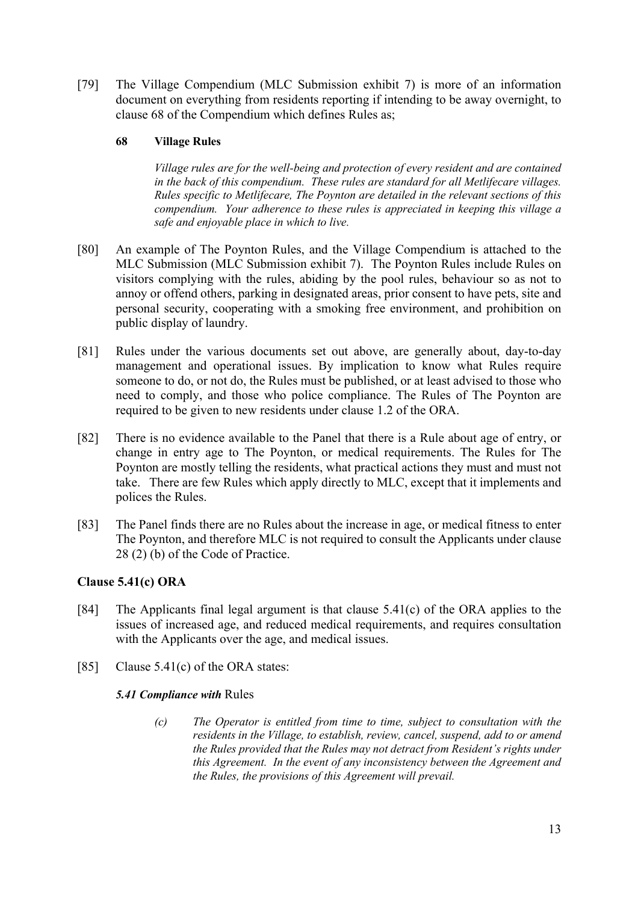[79] The Village Compendium (MLC Submission exhibit 7) is more of an information document on everything from residents reporting if intending to be away overnight, to clause 68 of the Compendium which defines Rules as;

#### **68 Village Rules**

*Village rules are for the well-being and protection of every resident and are contained in the back of this compendium. These rules are standard for all Metlifecare villages. Rules specific to Metlifecare, The Poynton are detailed in the relevant sections of this compendium. Your adherence to these rules is appreciated in keeping this village a safe and enjoyable place in which to live.* 

- [80] An example of The Poynton Rules, and the Village Compendium is attached to the MLC Submission (MLC Submission exhibit 7). The Poynton Rules include Rules on visitors complying with the rules, abiding by the pool rules, behaviour so as not to annoy or offend others, parking in designated areas, prior consent to have pets, site and personal security, cooperating with a smoking free environment, and prohibition on public display of laundry.
- [81] Rules under the various documents set out above, are generally about, day-to-day management and operational issues. By implication to know what Rules require someone to do, or not do, the Rules must be published, or at least advised to those who need to comply, and those who police compliance. The Rules of The Poynton are required to be given to new residents under clause 1.2 of the ORA.
- [82] There is no evidence available to the Panel that there is a Rule about age of entry, or change in entry age to The Poynton, or medical requirements. The Rules for The Poynton are mostly telling the residents, what practical actions they must and must not take. There are few Rules which apply directly to MLC, except that it implements and polices the Rules.
- [83] The Panel finds there are no Rules about the increase in age, or medical fitness to enter The Poynton, and therefore MLC is not required to consult the Applicants under clause 28 (2) (b) of the Code of Practice.

#### **Clause 5.41(c) ORA**

- [84] The Applicants final legal argument is that clause 5.41(c) of the ORA applies to the issues of increased age, and reduced medical requirements, and requires consultation with the Applicants over the age, and medical issues.
- [85] Clause 5.41(c) of the ORA states:

#### *5.41 Compliance with* Rules

*(c) The Operator is entitled from time to time, subject to consultation with the residents in the Village, to establish, review, cancel, suspend, add to or amend the Rules provided that the Rules may not detract from Resident's rights under this Agreement. In the event of any inconsistency between the Agreement and the Rules, the provisions of this Agreement will prevail.*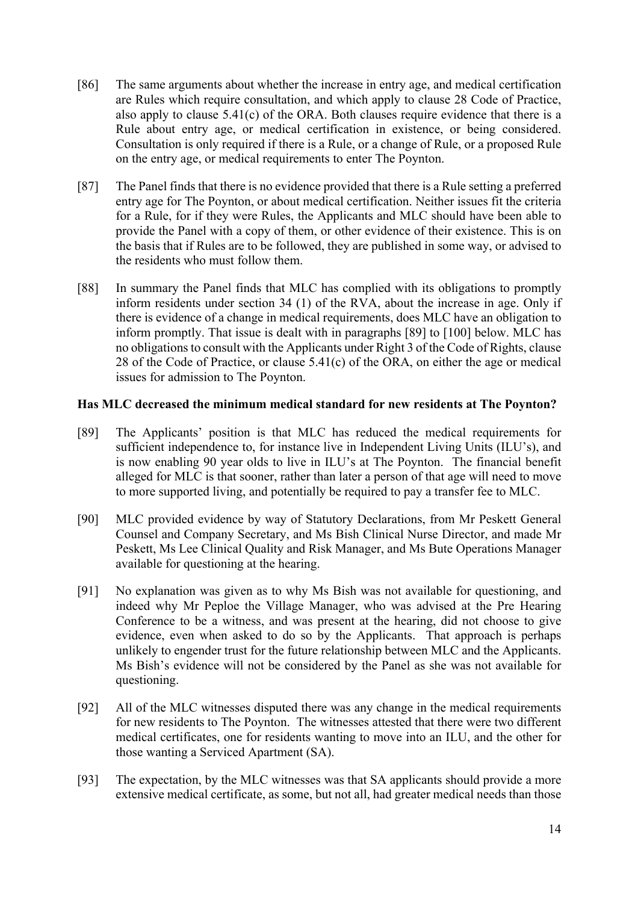- [86] The same arguments about whether the increase in entry age, and medical certification are Rules which require consultation, and which apply to clause 28 Code of Practice, also apply to clause  $5.41(c)$  of the ORA. Both clauses require evidence that there is a Rule about entry age, or medical certification in existence, or being considered. Consultation is only required if there is a Rule, or a change of Rule, or a proposed Rule on the entry age, or medical requirements to enter The Poynton.
- [87] The Panel finds that there is no evidence provided that there is a Rule setting a preferred entry age for The Poynton, or about medical certification. Neither issues fit the criteria for a Rule, for if they were Rules, the Applicants and MLC should have been able to provide the Panel with a copy of them, or other evidence of their existence. This is on the basis that if Rules are to be followed, they are published in some way, or advised to the residents who must follow them.
- [88] In summary the Panel finds that MLC has complied with its obligations to promptly inform residents under section 34 (1) of the RVA, about the increase in age. Only if there is evidence of a change in medical requirements, does MLC have an obligation to inform promptly. That issue is dealt with in paragraphs [89] to [100] below. MLC has no obligations to consult with the Applicants under Right 3 of the Code of Rights, clause 28 of the Code of Practice, or clause 5.41(c) of the ORA, on either the age or medical issues for admission to The Poynton.

#### **Has MLC decreased the minimum medical standard for new residents at The Poynton?**

- [89] The Applicants' position is that MLC has reduced the medical requirements for sufficient independence to, for instance live in Independent Living Units (ILU's), and is now enabling 90 year olds to live in ILU's at The Poynton. The financial benefit alleged for MLC is that sooner, rather than later a person of that age will need to move to more supported living, and potentially be required to pay a transfer fee to MLC.
- [90] MLC provided evidence by way of Statutory Declarations, from Mr Peskett General Counsel and Company Secretary, and Ms Bish Clinical Nurse Director, and made Mr Peskett, Ms Lee Clinical Quality and Risk Manager, and Ms Bute Operations Manager available for questioning at the hearing.
- [91] No explanation was given as to why Ms Bish was not available for questioning, and indeed why Mr Peploe the Village Manager, who was advised at the Pre Hearing Conference to be a witness, and was present at the hearing, did not choose to give evidence, even when asked to do so by the Applicants. That approach is perhaps unlikely to engender trust for the future relationship between MLC and the Applicants. Ms Bish's evidence will not be considered by the Panel as she was not available for questioning.
- [92] All of the MLC witnesses disputed there was any change in the medical requirements for new residents to The Poynton. The witnesses attested that there were two different medical certificates, one for residents wanting to move into an ILU, and the other for those wanting a Serviced Apartment (SA).
- [93] The expectation, by the MLC witnesses was that SA applicants should provide a more extensive medical certificate, as some, but not all, had greater medical needs than those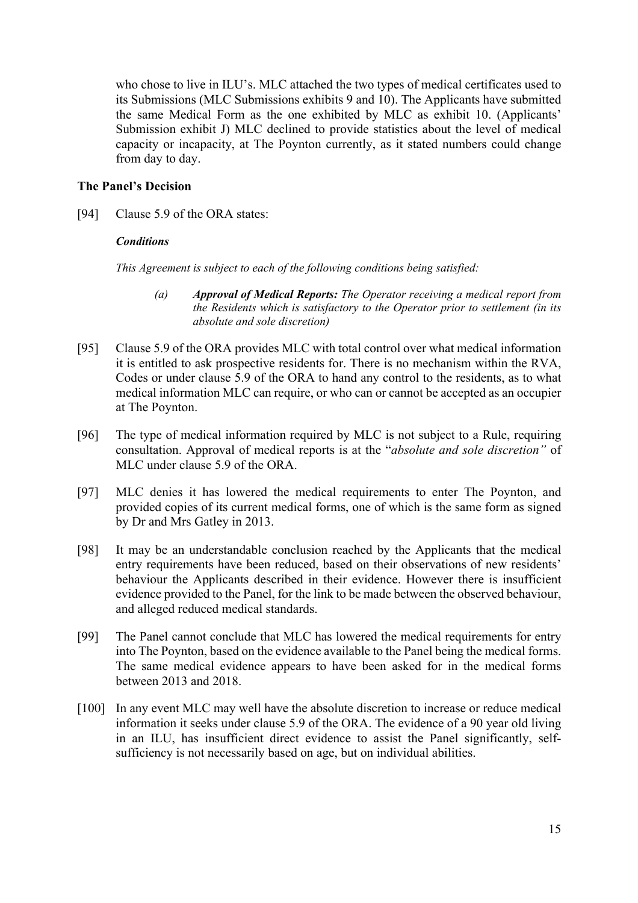who chose to live in ILU's. MLC attached the two types of medical certificates used to its Submissions (MLC Submissions exhibits 9 and 10). The Applicants have submitted the same Medical Form as the one exhibited by MLC as exhibit 10. (Applicants' Submission exhibit J) MLC declined to provide statistics about the level of medical capacity or incapacity, at The Poynton currently, as it stated numbers could change from day to day.

#### **The Panel's Decision**

[94] Clause 5.9 of the ORA states:

#### *Conditions*

*This Agreement is subject to each of the following conditions being satisfied:*

- *(a) Approval of Medical Reports: The Operator receiving a medical report from the Residents which is satisfactory to the Operator prior to settlement (in its absolute and sole discretion)*
- [95] Clause 5.9 of the ORA provides MLC with total control over what medical information it is entitled to ask prospective residents for. There is no mechanism within the RVA, Codes or under clause 5.9 of the ORA to hand any control to the residents, as to what medical information MLC can require, or who can or cannot be accepted as an occupier at The Poynton.
- [96] The type of medical information required by MLC is not subject to a Rule, requiring consultation. Approval of medical reports is at the "*absolute and sole discretion"* of MLC under clause 5.9 of the ORA.
- [97] MLC denies it has lowered the medical requirements to enter The Poynton, and provided copies of its current medical forms, one of which is the same form as signed by Dr and Mrs Gatley in 2013.
- [98] It may be an understandable conclusion reached by the Applicants that the medical entry requirements have been reduced, based on their observations of new residents' behaviour the Applicants described in their evidence. However there is insufficient evidence provided to the Panel, for the link to be made between the observed behaviour, and alleged reduced medical standards.
- [99] The Panel cannot conclude that MLC has lowered the medical requirements for entry into The Poynton, based on the evidence available to the Panel being the medical forms. The same medical evidence appears to have been asked for in the medical forms between 2013 and 2018.
- [100] In any event MLC may well have the absolute discretion to increase or reduce medical information it seeks under clause 5.9 of the ORA. The evidence of a 90 year old living in an ILU, has insufficient direct evidence to assist the Panel significantly, selfsufficiency is not necessarily based on age, but on individual abilities.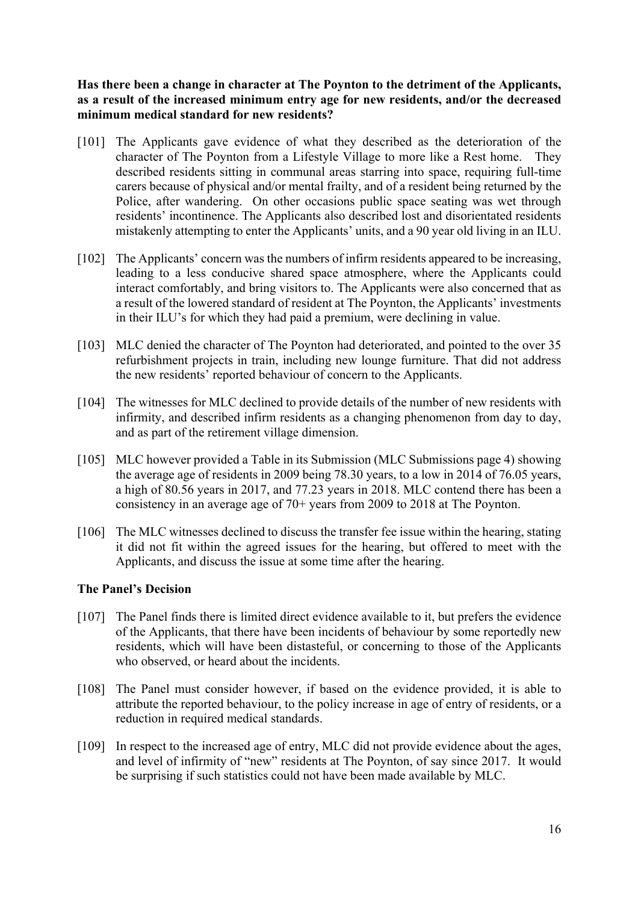**Has there been a change in character at The Poynton to the detriment of the Applicants, as a result of the increased minimum entry age for new residents, and/or the decreased minimum medical standard for new residents?**

- [101] The Applicants gave evidence of what they described as the deterioration of the character of The Poynton from a Lifestyle Village to more like a Rest home. They described residents sitting in communal areas starring into space, requiring full-time carers because of physical and/or mental frailty, and of a resident being returned by the Police, after wandering. On other occasions public space seating was wet through residents' incontinence. The Applicants also described lost and disorientated residents mistakenly attempting to enter the Applicants' units, and a 90 year old living in an ILU.
- [102] The Applicants' concern was the numbers of infirm residents appeared to be increasing, leading to a less conducive shared space atmosphere, where the Applicants could interact comfortably, and bring visitors to. The Applicants were also concerned that as a result of the lowered standard of resident at The Poynton, the Applicants' investments in their ILU's for which they had paid a premium, were declining in value.
- [103] MLC denied the character of The Poynton had deteriorated, and pointed to the over 35 refurbishment projects in train, including new lounge furniture. That did not address the new residents' reported behaviour of concern to the Applicants.
- [104] The witnesses for MLC declined to provide details of the number of new residents with infirmity, and described infirm residents as a changing phenomenon from day to day, and as part of the retirement village dimension.
- [105] MLC however provided a Table in its Submission (MLC Submissions page 4) showing the average age of residents in 2009 being 78.30 years, to a low in 2014 of 76.05 years, a high of 80.56 years in 2017, and 77.23 years in 2018. MLC contend there has been a consistency in an average age of 70+ years from 2009 to 2018 at The Poynton.
- [106] The MLC witnesses declined to discuss the transfer fee issue within the hearing, stating it did not fit within the agreed issues for the hearing, but offered to meet with the Applicants, and discuss the issue at some time after the hearing.

#### **The Panel's Decision**

- [107] The Panel finds there is limited direct evidence available to it, but prefers the evidence of the Applicants, that there have been incidents of behaviour by some reportedly new residents, which will have been distasteful, or concerning to those of the Applicants who observed, or heard about the incidents.
- [108] The Panel must consider however, if based on the evidence provided, it is able to attribute the reported behaviour, to the policy increase in age of entry of residents, or a reduction in required medical standards.
- [109] In respect to the increased age of entry, MLC did not provide evidence about the ages, and level of infirmity of "new" residents at The Poynton, of say since 2017. It would be surprising if such statistics could not have been made available by MLC.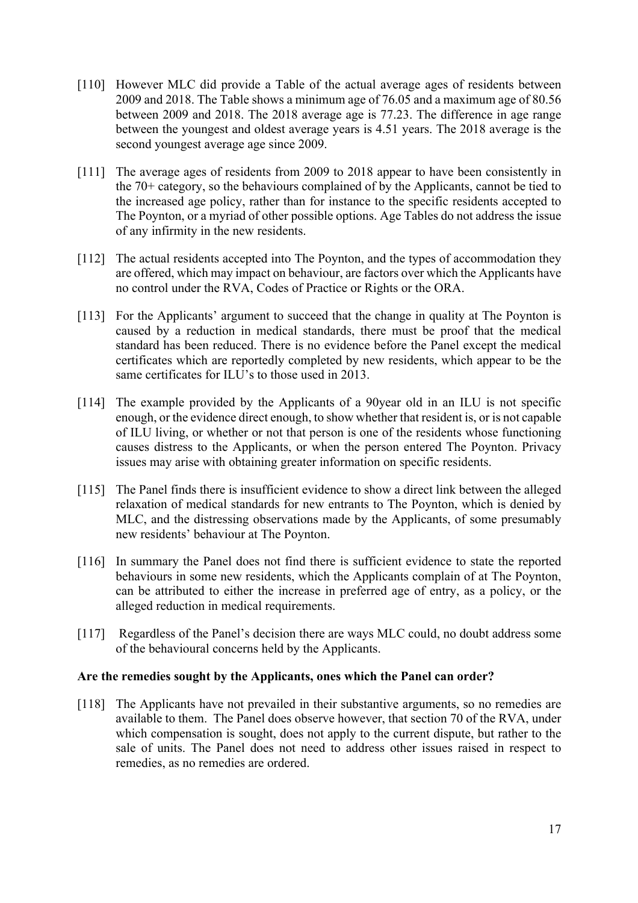- [110] However MLC did provide a Table of the actual average ages of residents between 2009 and 2018. The Table shows a minimum age of 76.05 and a maximum age of 80.56 between 2009 and 2018. The 2018 average age is 77.23. The difference in age range between the youngest and oldest average years is 4.51 years. The 2018 average is the second youngest average age since 2009.
- [111] The average ages of residents from 2009 to 2018 appear to have been consistently in the 70+ category, so the behaviours complained of by the Applicants, cannot be tied to the increased age policy, rather than for instance to the specific residents accepted to The Poynton, or a myriad of other possible options. Age Tables do not address the issue of any infirmity in the new residents.
- [112] The actual residents accepted into The Poynton, and the types of accommodation they are offered, which may impact on behaviour, are factors over which the Applicants have no control under the RVA, Codes of Practice or Rights or the ORA.
- [113] For the Applicants' argument to succeed that the change in quality at The Poynton is caused by a reduction in medical standards, there must be proof that the medical standard has been reduced. There is no evidence before the Panel except the medical certificates which are reportedly completed by new residents, which appear to be the same certificates for ILU's to those used in 2013.
- [114] The example provided by the Applicants of a 90year old in an ILU is not specific enough, or the evidence direct enough, to show whether that resident is, or is not capable of ILU living, or whether or not that person is one of the residents whose functioning causes distress to the Applicants, or when the person entered The Poynton. Privacy issues may arise with obtaining greater information on specific residents.
- [115] The Panel finds there is insufficient evidence to show a direct link between the alleged relaxation of medical standards for new entrants to The Poynton, which is denied by MLC, and the distressing observations made by the Applicants, of some presumably new residents' behaviour at The Poynton.
- [116] In summary the Panel does not find there is sufficient evidence to state the reported behaviours in some new residents, which the Applicants complain of at The Poynton, can be attributed to either the increase in preferred age of entry, as a policy, or the alleged reduction in medical requirements.
- [117] Regardless of the Panel's decision there are ways MLC could, no doubt address some of the behavioural concerns held by the Applicants.

#### **Are the remedies sought by the Applicants, ones which the Panel can order?**

[118] The Applicants have not prevailed in their substantive arguments, so no remedies are available to them. The Panel does observe however, that section 70 of the RVA, under which compensation is sought, does not apply to the current dispute, but rather to the sale of units. The Panel does not need to address other issues raised in respect to remedies, as no remedies are ordered.